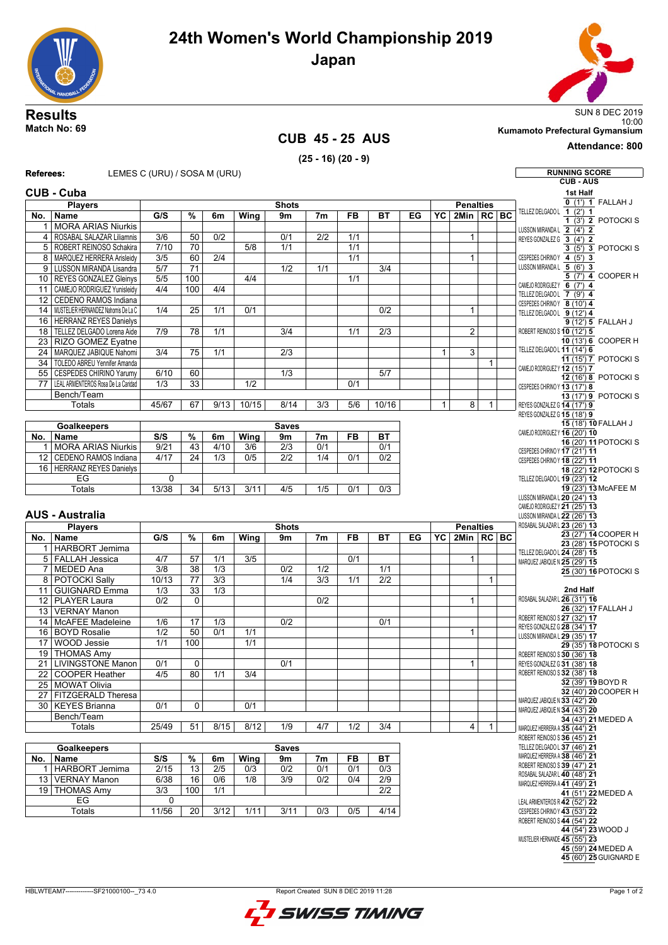



## **CUB 45 - 25 AUS (25 - 16) (20 - 9)**

10:00 **Match No: 69 Kumamoto Prefectural Gymansium**

## **Attendance: 800**

## **Referees:** LEMES C (URU) / SOSA M (URU) **Referees:**  $\begin{bmatrix} \end{bmatrix}$

|              | Referees:                                | LEMES C (URU) / SOSA M (URU) |                      |                   |                          |                        |                       |                  |                  |    |              |                  |              | <b>RUNNING SCORE</b>                                           |
|--------------|------------------------------------------|------------------------------|----------------------|-------------------|--------------------------|------------------------|-----------------------|------------------|------------------|----|--------------|------------------|--------------|----------------------------------------------------------------|
|              |                                          |                              |                      |                   |                          |                        |                       |                  |                  |    |              |                  |              | <b>CUB-AUS</b>                                                 |
|              | <b>CUB - Cuba</b>                        |                              |                      |                   |                          |                        |                       |                  |                  |    |              |                  |              | 1st Half                                                       |
|              | <b>Players</b>                           |                              |                      |                   |                          | <b>Shots</b>           |                       |                  |                  |    |              | <b>Penalties</b> |              | $\overline{0(1')}$ 1 FALLAH J                                  |
| No.          | Name                                     | G/S                          | %                    | 6m                | Wing                     | 9m                     | 7 <sub>m</sub>        | <b>FB</b>        | <b>BT</b>        | EG | YC           | 2Min   RC   BC   |              | TELLEZ DELGADOL 1 (2') 1<br>$1$ (3') 2 POTOCKI S               |
|              | 1 MORA ARIAS Niurkis                     |                              |                      |                   |                          |                        |                       |                  |                  |    |              |                  |              | LUSSON MIRANDA L 2 (4') 2                                      |
|              | 4   ROSABAL SALAZAR Liliamnis            | 3/6                          | 50                   | $\overline{0/2}$  |                          | 0/1                    | 2/2                   | 1/1              |                  |    |              | $\mathbf{1}$     |              | REYES GONZALEZ G 3 (4') 2                                      |
|              | 5   ROBERT REINOSO Schakira              | 7/10                         | 70                   |                   | 5/8                      | 1/1                    |                       | 1/1              |                  |    |              |                  |              | $3(5)$ 3 POTOCKIS                                              |
|              | 8   MARQUEZ HERRERA Arisleidy            | $\overline{3/5}$             | 60                   | 2/4               |                          |                        |                       | 1/1              |                  |    |              | 1                |              | CESPEDES CHIRINOY 4 (5') 3                                     |
|              | 9   LUSSON MIRANDA Lisandra              | $\overline{5/7}$             | $\overline{71}$      |                   |                          | 1/2                    | 1/1                   |                  | $\overline{3/4}$ |    |              |                  |              | LUSSON MIRANDA L 5 (6') 3                                      |
|              | 10 REYES GONZALEZ Gleinys                | 5/5                          | 100                  |                   | 4/4                      |                        |                       | 1/1              |                  |    |              |                  |              | 5 (7') 4 COOPER H<br>CAMEJO RODRIGUEZY 6 (7') 4                |
|              | 11 CAMEJO RODRIGUEZ Yunisleidy           | 4/4                          | 100                  | 4/4               |                          |                        |                       |                  |                  |    |              |                  |              | TELLEZ DELGADOL 7 (9') 4                                       |
|              | 12 CEDENO RAMOS Indiana                  |                              |                      |                   |                          |                        |                       |                  |                  |    |              |                  |              | CESPEDES CHIRINOY 8 (10') 4                                    |
|              | 14 MUSTELIER HERNANDEZ Nahomis De La C   | 1/4                          | $\overline{25}$      | 1/1               | 0/1                      |                        |                       |                  | 0/2              |    |              | $\mathbf{1}$     |              | TELLEZ DELGADOL 9 (12') 4                                      |
|              | 16   HERRANZ REYES Danielys              |                              |                      |                   |                          |                        |                       |                  |                  |    |              |                  |              | 9 (12') 5 FALLAH J                                             |
| 18 I         | TELLEZ DELGADO Lorena Aide               | 7/9                          | 78                   | 1/1               |                          | 3/4                    |                       | 1/1              | 2/3              |    |              | $\overline{2}$   |              | ROBERT REINOSO S 10 (12') 5                                    |
|              | 23 RIZO GOMEZ Eyatne                     |                              |                      |                   |                          |                        |                       |                  |                  |    |              |                  |              | 10 (13') 6 COOPER H<br>TELLEZ DELGADO L 11 (14') 6             |
|              | 24   MARQUEZ JABIQUE Nahomi              | 3/4                          | 75                   | 1/1               |                          | $\overline{2/3}$       |                       |                  |                  |    | $\mathbf{1}$ | 3                |              | 11 (15') 7 POTOCKI S                                           |
| 34           | TOLEDO ABREU Yennifer Amanda             |                              |                      |                   |                          |                        |                       |                  |                  |    |              |                  | $\mathbf{1}$ | CAMEJO RODRIGUEZ Y 12 (15') 7                                  |
|              | 55 CESPEDES CHIRINO Yarumy               | 6/10                         | 60                   |                   |                          | 1/3                    |                       |                  | 5/7              |    |              |                  |              | 12 (16') 8 POTOCKI S                                           |
| 77           | LEAL ARMENTEROS Rosa De La Caridad       | 1/3                          | 33                   |                   | 1/2                      |                        |                       | 0/1              |                  |    |              |                  |              | CESPEDES CHIRINO Y 13 (17') 8                                  |
|              | Bench/Team                               |                              |                      |                   |                          |                        |                       |                  |                  |    |              |                  |              | $13(17)$ 9 POTOCKI S                                           |
|              | <b>Totals</b>                            | 45/67                        | 67                   | 9/13              | 10/15                    | 8/14                   | 3/3                   | 5/6              | 10/16            |    | $\mathbf{1}$ | 8                | 1            | REYES GONZALEZ G 14 (17') 9                                    |
|              |                                          |                              |                      |                   |                          |                        |                       |                  |                  |    |              |                  |              | REYES GONZALEZ G 15 (18') 9<br>15 (18') 10 FALLAH J            |
|              | <b>Goalkeepers</b>                       |                              |                      |                   |                          | <b>Saves</b>           |                       |                  |                  |    |              |                  |              | CAMEJO RODRIGUEZ Y 16 (20') 10                                 |
| No.          | <b>Name</b><br><b>MORA ARIAS Niurkis</b> | S/S<br>9/21                  | %<br>$\overline{43}$ | 6m<br>4/10        | Wing<br>$\overline{3/6}$ | 9m<br>$\overline{2/3}$ | 7 <sub>m</sub><br>0/1 | FB               | <b>BT</b><br>0/1 |    |              |                  |              | 16 (20') 11 POTOCKI S                                          |
| $\mathbf{1}$ | CEDENO RAMOS Indiana                     | 4/17                         | $\overline{24}$      | 1/3               | 0/5                      | 2/2                    | 1/4                   | 0/1              | 0/2              |    |              |                  |              | CESPEDES CHIRINO Y 17 (21') 11                                 |
| 12           | 16   HERRANZ REYES Danielys              |                              |                      |                   |                          |                        |                       |                  |                  |    |              |                  |              | CESPEDES CHIRINOY 18 (22') 11                                  |
|              | EG                                       |                              |                      |                   |                          |                        |                       |                  |                  |    |              |                  |              | 18 (22') 12 POTOCKI S                                          |
|              | <b>Totals</b>                            | 0<br>13/38                   | $\overline{34}$      | $\overline{5/13}$ | 3/11                     | 4/5                    | 1/5                   | 0/1              | 0/3              |    |              |                  |              | TELLEZ DELGADO L 19 (23') 12<br>19 (23') 13 McAFEE M           |
|              |                                          |                              |                      |                   |                          |                        |                       |                  |                  |    |              |                  |              | LUSSON MIRANDA L 20 (24') 13                                   |
|              |                                          |                              |                      |                   |                          |                        |                       |                  |                  |    |              |                  |              | CAMEJO RODRIGUEZ Y 21 (25') 13                                 |
|              | <b>AUS - Australia</b>                   |                              |                      |                   |                          |                        |                       |                  |                  |    |              |                  |              | LUSSON MIRANDA L 22 (26') 13                                   |
|              | <b>Players</b>                           |                              |                      |                   |                          | <b>Shots</b>           |                       |                  |                  |    |              | <b>Penalties</b> |              | ROSABAL SALAZAR L 23 (26') 13<br>23 (27') 14 COOPER H          |
|              | No.   Name                               |                              | %                    | 6m                | <b>Wing</b>              | 9m                     | 7 <sub>m</sub>        | <b>FB</b>        | <b>BT</b>        |    |              | $2$ Min $R$ C BC |              |                                                                |
|              |                                          | G/S                          |                      |                   |                          |                        |                       |                  |                  | EG | YC           |                  |              |                                                                |
|              | 1 HARBORT Jemima                         |                              |                      |                   |                          |                        |                       |                  |                  |    |              |                  |              | 23 (28') 15 POTOCKI S                                          |
|              | 5 FALLAH Jessica                         | 4/7                          | 57                   | 1/1               | 3/5                      |                        |                       | 0/1              |                  |    |              | $\mathbf{1}$     |              | TELLEZ DELGADO L 24 (28') 15<br>MARQUEZ JABIQUE N 25 (29') 15  |
|              | 7 MEDED Ana                              | $\overline{3/8}$             | $\overline{38}$      | $\overline{1/3}$  |                          | 0/2                    | 1/2                   |                  | 1/1              |    |              |                  |              | 25 (30') 16 POTOCKI S                                          |
|              | 8 POTOCKI Sally                          | 10/13                        | 77                   | $\overline{3/3}$  |                          | $\overline{1/4}$       | $\overline{3/3}$      | $\overline{1/1}$ | $\overline{2/2}$ |    |              |                  | $\mathbf{1}$ |                                                                |
| 11 I         | <b>GUIGNARD Emma</b>                     | 1/3                          | $\overline{33}$      | 1/3               |                          |                        |                       |                  |                  |    |              |                  |              | 2nd Half                                                       |
|              | 12 PLAYER Laura                          | 0/2                          | 0                    |                   |                          |                        | 0/2                   |                  |                  |    |              | $\mathbf{1}$     |              | ROSABAL SALAZAR L 26 (31') 16                                  |
|              | 13   VERNAY Manon                        |                              |                      |                   |                          |                        |                       |                  |                  |    |              |                  |              | 26 (32') 17 FALLAH J                                           |
|              | 14   McAFEE Madeleine                    | 1/6                          | 17                   | 1/3               |                          | 0/2                    |                       |                  | 0/1              |    |              |                  |              | ROBERT REINOSO S 27 (32') 17                                   |
|              | 16 BOYD Rosalie                          | 1/2                          | 50                   | 0/1               | 1/1                      |                        |                       |                  |                  |    |              | $\mathbf{1}$     |              | REYES GONZALEZ G 28 (34') 17<br>LUSSON MIRANDA L 29 (35') 17   |
| 17           | WOOD Jessie                              | 1/1                          | 100                  |                   | 1/1                      |                        |                       |                  |                  |    |              |                  |              | 29 (35') 18 POTOCKI S                                          |
|              | 19 THOMAS Amy                            |                              |                      |                   |                          |                        |                       |                  |                  |    |              |                  |              | ROBERT REINOSO S 30 (36') 18                                   |
|              | 21 LIVINGSTONE Manon                     | 0/1                          | 0                    |                   |                          | 0/1                    |                       |                  |                  |    |              | $\mathbf{1}$     |              | REYES GONZALEZ G 31 (38') 18                                   |
|              | 22   COOPER Heather                      | 4/5                          | 80                   | 1/1               | 3/4                      |                        |                       |                  |                  |    |              |                  |              | ROBERT REINOSO S 32 (38') 18                                   |
|              | 25   MOWAT Olivia                        |                              |                      |                   |                          |                        |                       |                  |                  |    |              |                  |              | 32 (39') 19 BOYD R                                             |
|              | 27 FITZGERALD Theresa                    |                              |                      |                   |                          |                        |                       |                  |                  |    |              |                  |              | 32 (40') 20 COOPER H<br>MARQUEZ JABIQUE N 33 (42') 20          |
|              | 30 KEYES Brianna                         | 0/1                          | 0                    |                   | 0/1                      |                        |                       |                  |                  |    |              |                  |              | MARQUEZ JABIQUE N 34 (43') 20                                  |
|              | Bench/Team                               |                              |                      |                   |                          |                        |                       |                  |                  |    |              |                  |              | 34 (43') 21 MEDED A                                            |
|              | Totals                                   | 25/49                        | $\overline{51}$      | 8/15              | 8/12                     | $\overline{1/9}$       | 4/7                   | $\overline{1/2}$ | 3/4              |    |              | $\vert$          | $\mathbf{1}$ | MARQUEZ HERRERA A 35 (44') 21                                  |
|              |                                          |                              |                      |                   |                          |                        |                       |                  |                  |    |              |                  |              | ROBERT REINOSO S 36 (45') 21                                   |
|              | <b>Goalkeepers</b>                       |                              |                      |                   |                          | <b>Saves</b>           |                       |                  |                  |    |              |                  |              | TELLEZ DELGADO L 37 (46') 21                                   |
| No.          | Name                                     | S/S                          | %                    | 6m                | Wing                     | 9m                     | 7 <sub>m</sub>        | <b>FB</b>        | ВT               |    |              |                  |              | MARQUEZ HERRERA A 38 (46') 21<br>ROBERT REINOSO S 39 (47') 21  |
|              | 1   HARBORT Jemima                       | 2/15                         | $\overline{13}$      | 2/5               | 0/3                      | 0/2                    | 0/1                   | 0/1              | 0/3              |    |              |                  |              | ROSABAL SALAZAR L 40 (48') 21                                  |
|              | 13   VERNAY Manon                        | 6/38                         | 16                   | 0/6               | 1/8                      | 3/9                    | 0/2                   | 0/4              | $\overline{2/9}$ |    |              |                  |              | MARQUEZ HERRERA A 41 (49') 21                                  |
|              | 19 THOMAS Amy                            | 3/3                          | 100                  | 1/1               |                          |                        |                       |                  | 2/2              |    |              |                  |              | 41 (51') 22 MEDED A                                            |
|              | EG                                       | 0                            |                      |                   |                          |                        |                       |                  |                  |    |              |                  |              | LEAL ARMENTEROS R 42 (52') 22                                  |
|              | Totals                                   | 11/56                        | 20                   | 3/12              | 1/11                     | 3/11                   | 0/3                   | 0/5              | 4/14             |    |              |                  |              | CESPEDES CHIRINO Y 43 (53') 22<br>ROBERT REINOSO S 44 (54') 22 |
|              |                                          |                              |                      |                   |                          |                        |                       |                  |                  |    |              |                  |              | 44 (54') 23 WOOD J                                             |
|              |                                          |                              |                      |                   |                          |                        |                       |                  |                  |    |              |                  |              | MUSTELIER HERNANDE 45 (55') 23                                 |
|              |                                          |                              |                      |                   |                          |                        |                       |                  |                  |    |              |                  |              | 45 (59') 24 MEDED A<br>45 (60') 25 GUIGNARD E                  |